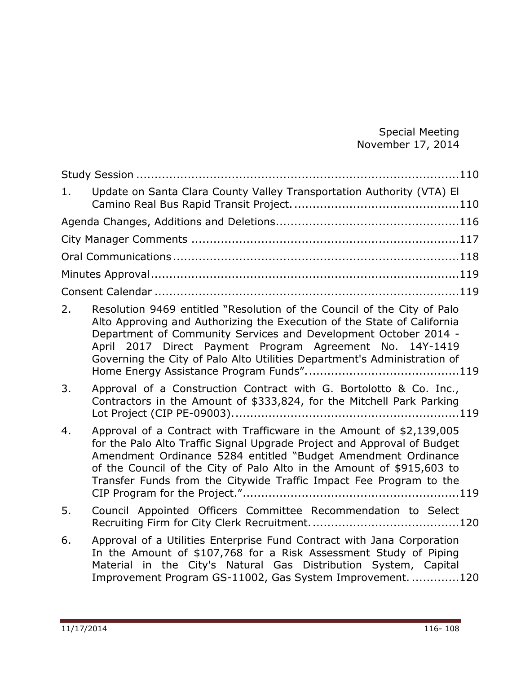Special Meeting November 17, 2014

| 1. | Update on Santa Clara County Valley Transportation Authority (VTA) El                                                                                                                                                                                                                                                                                           |  |
|----|-----------------------------------------------------------------------------------------------------------------------------------------------------------------------------------------------------------------------------------------------------------------------------------------------------------------------------------------------------------------|--|
|    |                                                                                                                                                                                                                                                                                                                                                                 |  |
|    |                                                                                                                                                                                                                                                                                                                                                                 |  |
|    |                                                                                                                                                                                                                                                                                                                                                                 |  |
|    |                                                                                                                                                                                                                                                                                                                                                                 |  |
|    |                                                                                                                                                                                                                                                                                                                                                                 |  |
| 2. | Resolution 9469 entitled "Resolution of the Council of the City of Palo<br>Alto Approving and Authorizing the Execution of the State of California<br>Department of Community Services and Development October 2014 -<br>April 2017 Direct Payment Program Agreement No. 14Y-1419<br>Governing the City of Palo Alto Utilities Department's Administration of   |  |
| 3. | Approval of a Construction Contract with G. Bortolotto & Co. Inc.,<br>Contractors in the Amount of \$333,824, for the Mitchell Park Parking                                                                                                                                                                                                                     |  |
| 4. | Approval of a Contract with Trafficware in the Amount of \$2,139,005<br>for the Palo Alto Traffic Signal Upgrade Project and Approval of Budget<br>Amendment Ordinance 5284 entitled "Budget Amendment Ordinance<br>of the Council of the City of Palo Alto in the Amount of \$915,603 to<br>Transfer Funds from the Citywide Traffic Impact Fee Program to the |  |
| 5. | Council Appointed Officers Committee Recommendation to Select                                                                                                                                                                                                                                                                                                   |  |
| 6. | Approval of a Utilities Enterprise Fund Contract with Jana Corporation<br>In the Amount of \$107,768 for a Risk Assessment Study of Piping<br>Material in the City's Natural Gas Distribution System, Capital<br>Improvement Program GS-11002, Gas System Improvement. 120                                                                                      |  |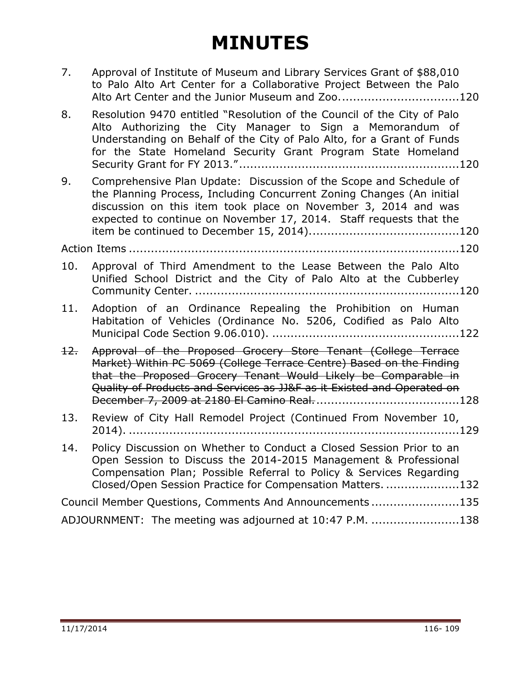| 7.  | Approval of Institute of Museum and Library Services Grant of \$88,010<br>to Palo Alto Art Center for a Collaborative Project Between the Palo<br>Alto Art Center and the Junior Museum and Zoo120                                                                                  |
|-----|-------------------------------------------------------------------------------------------------------------------------------------------------------------------------------------------------------------------------------------------------------------------------------------|
| 8.  | Resolution 9470 entitled "Resolution of the Council of the City of Palo<br>Alto Authorizing the City Manager to Sign a Memorandum of<br>Understanding on Behalf of the City of Palo Alto, for a Grant of Funds<br>for the State Homeland Security Grant Program State Homeland      |
| 9.  | Comprehensive Plan Update: Discussion of the Scope and Schedule of<br>the Planning Process, Including Concurrent Zoning Changes (An initial<br>discussion on this item took place on November 3, 2014 and was<br>expected to continue on November 17, 2014. Staff requests that the |
|     |                                                                                                                                                                                                                                                                                     |
| 10. | Approval of Third Amendment to the Lease Between the Palo Alto<br>Unified School District and the City of Palo Alto at the Cubberley                                                                                                                                                |
| 11. | Adoption of an Ordinance Repealing the Prohibition on Human<br>Habitation of Vehicles (Ordinance No. 5206, Codified as Palo Alto                                                                                                                                                    |
| 12. | Approval of the Proposed Grocery Store Tenant (College Terrace<br>Market) Within PC 5069 (College Terrace Centre) Based on the Finding<br>that the Proposed Grocery Tenant Would Likely be Comparable in<br>Quality of Products and Services as JJ&F as it Existed and Operated on  |
| 13. | Review of City Hall Remodel Project (Continued From November 10,                                                                                                                                                                                                                    |
| 14. | Policy Discussion on Whether to Conduct a Closed Session Prior to an<br>Open Session to Discuss the 2014-2015 Management & Professional<br>Compensation Plan; Possible Referral to Policy & Services Regarding<br>Closed/Open Session Practice for Compensation Matters. 132        |
|     | Council Member Questions, Comments And Announcements135                                                                                                                                                                                                                             |
|     | ADJOURNMENT: The meeting was adjourned at 10:47 P.M. 138                                                                                                                                                                                                                            |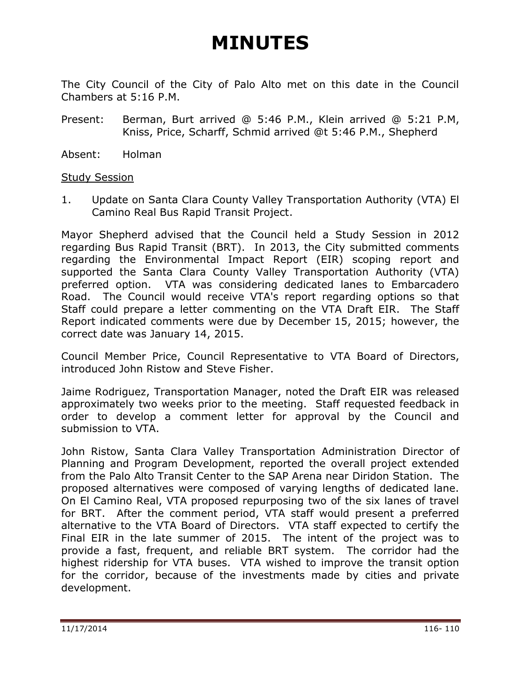The City Council of the City of Palo Alto met on this date in the Council Chambers at 5:16 P.M.

- Present: Berman, Burt arrived @ 5:46 P.M., Klein arrived @ 5:21 P.M, Kniss, Price, Scharff, Schmid arrived @t 5:46 P.M., Shepherd
- Absent: Holman

#### <span id="page-2-0"></span>**Study Session**

<span id="page-2-1"></span>1. Update on Santa Clara County Valley Transportation Authority (VTA) El Camino Real Bus Rapid Transit Project.

Mayor Shepherd advised that the Council held a Study Session in 2012 regarding Bus Rapid Transit (BRT). In 2013, the City submitted comments regarding the Environmental Impact Report (EIR) scoping report and supported the Santa Clara County Valley Transportation Authority (VTA) preferred option. VTA was considering dedicated lanes to Embarcadero Road. The Council would receive VTA's report regarding options so that Staff could prepare a letter commenting on the VTA Draft EIR. The Staff Report indicated comments were due by December 15, 2015; however, the correct date was January 14, 2015.

Council Member Price, Council Representative to VTA Board of Directors, introduced John Ristow and Steve Fisher.

Jaime Rodriguez, Transportation Manager, noted the Draft EIR was released approximately two weeks prior to the meeting. Staff requested feedback in order to develop a comment letter for approval by the Council and submission to VTA.

John Ristow, Santa Clara Valley Transportation Administration Director of Planning and Program Development, reported the overall project extended from the Palo Alto Transit Center to the SAP Arena near Diridon Station. The proposed alternatives were composed of varying lengths of dedicated lane. On El Camino Real, VTA proposed repurposing two of the six lanes of travel for BRT. After the comment period, VTA staff would present a preferred alternative to the VTA Board of Directors. VTA staff expected to certify the Final EIR in the late summer of 2015. The intent of the project was to provide a fast, frequent, and reliable BRT system. The corridor had the highest ridership for VTA buses. VTA wished to improve the transit option for the corridor, because of the investments made by cities and private development.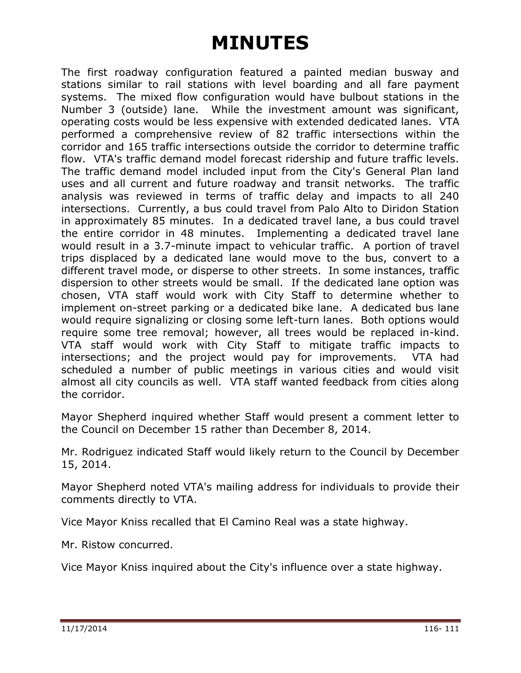The first roadway configuration featured a painted median busway and stations similar to rail stations with level boarding and all fare payment systems. The mixed flow configuration would have bulbout stations in the Number 3 (outside) lane. While the investment amount was significant, operating costs would be less expensive with extended dedicated lanes. VTA performed a comprehensive review of 82 traffic intersections within the corridor and 165 traffic intersections outside the corridor to determine traffic flow. VTA's traffic demand model forecast ridership and future traffic levels. The traffic demand model included input from the City's General Plan land uses and all current and future roadway and transit networks. The traffic analysis was reviewed in terms of traffic delay and impacts to all 240 intersections. Currently, a bus could travel from Palo Alto to Diridon Station in approximately 85 minutes. In a dedicated travel lane, a bus could travel the entire corridor in 48 minutes. Implementing a dedicated travel lane would result in a 3.7-minute impact to vehicular traffic. A portion of travel trips displaced by a dedicated lane would move to the bus, convert to a different travel mode, or disperse to other streets. In some instances, traffic dispersion to other streets would be small. If the dedicated lane option was chosen, VTA staff would work with City Staff to determine whether to implement on-street parking or a dedicated bike lane. A dedicated bus lane would require signalizing or closing some left-turn lanes. Both options would require some tree removal; however, all trees would be replaced in-kind. VTA staff would work with City Staff to mitigate traffic impacts to intersections; and the project would pay for improvements. VTA had scheduled a number of public meetings in various cities and would visit almost all city councils as well. VTA staff wanted feedback from cities along the corridor.

Mayor Shepherd inquired whether Staff would present a comment letter to the Council on December 15 rather than December 8, 2014.

Mr. Rodriguez indicated Staff would likely return to the Council by December 15, 2014.

Mayor Shepherd noted VTA's mailing address for individuals to provide their comments directly to VTA.

Vice Mayor Kniss recalled that El Camino Real was a state highway.

Mr. Ristow concurred.

Vice Mayor Kniss inquired about the City's influence over a state highway.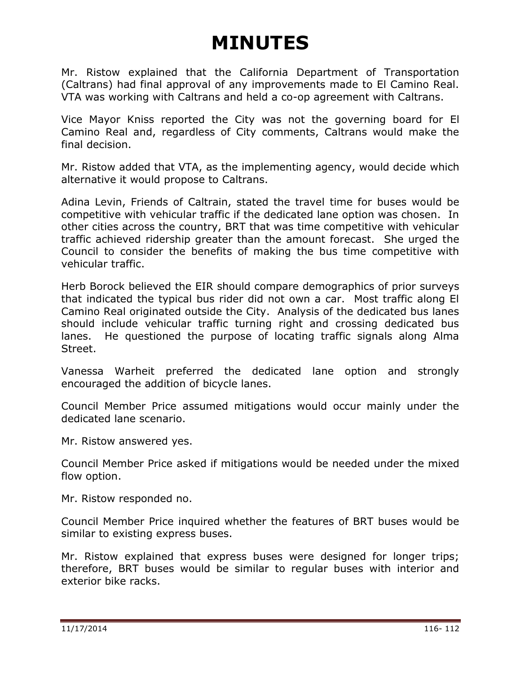Mr. Ristow explained that the California Department of Transportation (Caltrans) had final approval of any improvements made to El Camino Real. VTA was working with Caltrans and held a co-op agreement with Caltrans.

Vice Mayor Kniss reported the City was not the governing board for El Camino Real and, regardless of City comments, Caltrans would make the final decision.

Mr. Ristow added that VTA, as the implementing agency, would decide which alternative it would propose to Caltrans.

Adina Levin, Friends of Caltrain, stated the travel time for buses would be competitive with vehicular traffic if the dedicated lane option was chosen. In other cities across the country, BRT that was time competitive with vehicular traffic achieved ridership greater than the amount forecast. She urged the Council to consider the benefits of making the bus time competitive with vehicular traffic.

Herb Borock believed the EIR should compare demographics of prior surveys that indicated the typical bus rider did not own a car. Most traffic along El Camino Real originated outside the City. Analysis of the dedicated bus lanes should include vehicular traffic turning right and crossing dedicated bus lanes. He questioned the purpose of locating traffic signals along Alma Street.

Vanessa Warheit preferred the dedicated lane option and strongly encouraged the addition of bicycle lanes.

Council Member Price assumed mitigations would occur mainly under the dedicated lane scenario.

Mr. Ristow answered yes.

Council Member Price asked if mitigations would be needed under the mixed flow option.

Mr. Ristow responded no.

Council Member Price inquired whether the features of BRT buses would be similar to existing express buses.

Mr. Ristow explained that express buses were designed for longer trips; therefore, BRT buses would be similar to regular buses with interior and exterior bike racks.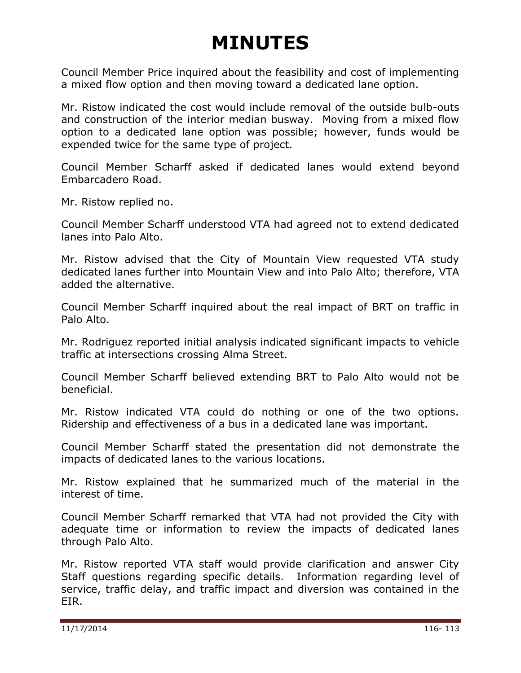Council Member Price inquired about the feasibility and cost of implementing a mixed flow option and then moving toward a dedicated lane option.

Mr. Ristow indicated the cost would include removal of the outside bulb-outs and construction of the interior median busway. Moving from a mixed flow option to a dedicated lane option was possible; however, funds would be expended twice for the same type of project.

Council Member Scharff asked if dedicated lanes would extend beyond Embarcadero Road.

Mr. Ristow replied no.

Council Member Scharff understood VTA had agreed not to extend dedicated lanes into Palo Alto.

Mr. Ristow advised that the City of Mountain View requested VTA study dedicated lanes further into Mountain View and into Palo Alto; therefore, VTA added the alternative.

Council Member Scharff inquired about the real impact of BRT on traffic in Palo Alto.

Mr. Rodriguez reported initial analysis indicated significant impacts to vehicle traffic at intersections crossing Alma Street.

Council Member Scharff believed extending BRT to Palo Alto would not be beneficial.

Mr. Ristow indicated VTA could do nothing or one of the two options. Ridership and effectiveness of a bus in a dedicated lane was important.

Council Member Scharff stated the presentation did not demonstrate the impacts of dedicated lanes to the various locations.

Mr. Ristow explained that he summarized much of the material in the interest of time.

Council Member Scharff remarked that VTA had not provided the City with adequate time or information to review the impacts of dedicated lanes through Palo Alto.

Mr. Ristow reported VTA staff would provide clarification and answer City Staff questions regarding specific details. Information regarding level of service, traffic delay, and traffic impact and diversion was contained in the EIR.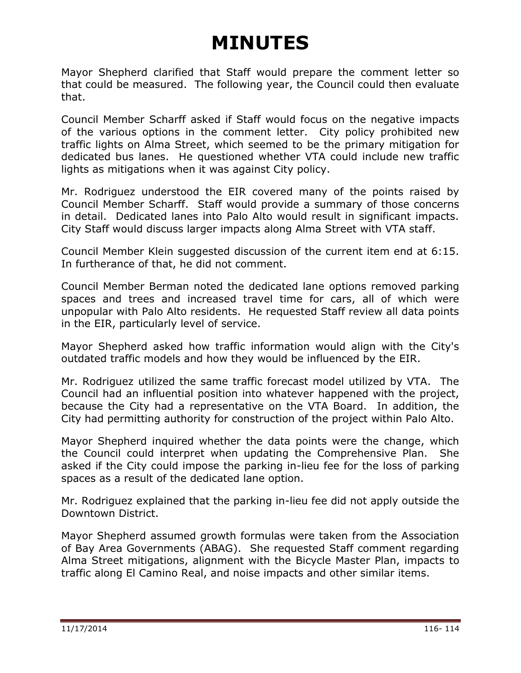Mayor Shepherd clarified that Staff would prepare the comment letter so that could be measured. The following year, the Council could then evaluate that.

Council Member Scharff asked if Staff would focus on the negative impacts of the various options in the comment letter. City policy prohibited new traffic lights on Alma Street, which seemed to be the primary mitigation for dedicated bus lanes. He questioned whether VTA could include new traffic lights as mitigations when it was against City policy.

Mr. Rodriguez understood the EIR covered many of the points raised by Council Member Scharff. Staff would provide a summary of those concerns in detail. Dedicated lanes into Palo Alto would result in significant impacts. City Staff would discuss larger impacts along Alma Street with VTA staff.

Council Member Klein suggested discussion of the current item end at 6:15. In furtherance of that, he did not comment.

Council Member Berman noted the dedicated lane options removed parking spaces and trees and increased travel time for cars, all of which were unpopular with Palo Alto residents. He requested Staff review all data points in the EIR, particularly level of service.

Mayor Shepherd asked how traffic information would align with the City's outdated traffic models and how they would be influenced by the EIR.

Mr. Rodriguez utilized the same traffic forecast model utilized by VTA. The Council had an influential position into whatever happened with the project, because the City had a representative on the VTA Board. In addition, the City had permitting authority for construction of the project within Palo Alto.

Mayor Shepherd inquired whether the data points were the change, which the Council could interpret when updating the Comprehensive Plan. She asked if the City could impose the parking in-lieu fee for the loss of parking spaces as a result of the dedicated lane option.

Mr. Rodriguez explained that the parking in-lieu fee did not apply outside the Downtown District.

Mayor Shepherd assumed growth formulas were taken from the Association of Bay Area Governments (ABAG). She requested Staff comment regarding Alma Street mitigations, alignment with the Bicycle Master Plan, impacts to traffic along El Camino Real, and noise impacts and other similar items.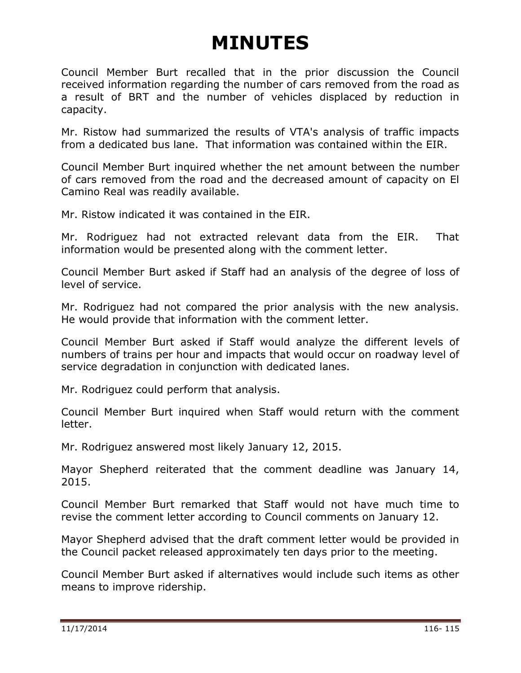Council Member Burt recalled that in the prior discussion the Council received information regarding the number of cars removed from the road as a result of BRT and the number of vehicles displaced by reduction in capacity.

Mr. Ristow had summarized the results of VTA's analysis of traffic impacts from a dedicated bus lane. That information was contained within the EIR.

Council Member Burt inquired whether the net amount between the number of cars removed from the road and the decreased amount of capacity on El Camino Real was readily available.

Mr. Ristow indicated it was contained in the EIR.

Mr. Rodriguez had not extracted relevant data from the EIR. That information would be presented along with the comment letter.

Council Member Burt asked if Staff had an analysis of the degree of loss of level of service.

Mr. Rodriguez had not compared the prior analysis with the new analysis. He would provide that information with the comment letter.

Council Member Burt asked if Staff would analyze the different levels of numbers of trains per hour and impacts that would occur on roadway level of service degradation in conjunction with dedicated lanes.

Mr. Rodriguez could perform that analysis.

Council Member Burt inquired when Staff would return with the comment letter.

Mr. Rodriguez answered most likely January 12, 2015.

Mayor Shepherd reiterated that the comment deadline was January 14, 2015.

Council Member Burt remarked that Staff would not have much time to revise the comment letter according to Council comments on January 12.

Mayor Shepherd advised that the draft comment letter would be provided in the Council packet released approximately ten days prior to the meeting.

Council Member Burt asked if alternatives would include such items as other means to improve ridership.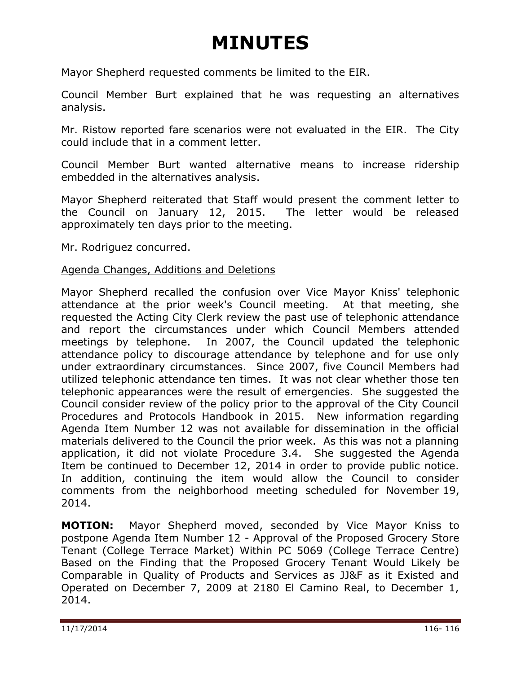Mayor Shepherd requested comments be limited to the EIR.

Council Member Burt explained that he was requesting an alternatives analysis.

Mr. Ristow reported fare scenarios were not evaluated in the EIR. The City could include that in a comment letter.

Council Member Burt wanted alternative means to increase ridership embedded in the alternatives analysis.

Mayor Shepherd reiterated that Staff would present the comment letter to the Council on January 12, 2015. The letter would be released approximately ten days prior to the meeting.

Mr. Rodriguez concurred.

#### <span id="page-8-0"></span>Agenda Changes, Additions and Deletions

Mayor Shepherd recalled the confusion over Vice Mayor Kniss' telephonic attendance at the prior week's Council meeting. At that meeting, she requested the Acting City Clerk review the past use of telephonic attendance and report the circumstances under which Council Members attended meetings by telephone. In 2007, the Council updated the telephonic attendance policy to discourage attendance by telephone and for use only under extraordinary circumstances. Since 2007, five Council Members had utilized telephonic attendance ten times. It was not clear whether those ten telephonic appearances were the result of emergencies. She suggested the Council consider review of the policy prior to the approval of the City Council Procedures and Protocols Handbook in 2015. New information regarding Agenda Item Number 12 was not available for dissemination in the official materials delivered to the Council the prior week. As this was not a planning application, it did not violate Procedure 3.4. She suggested the Agenda Item be continued to December 12, 2014 in order to provide public notice. In addition, continuing the item would allow the Council to consider comments from the neighborhood meeting scheduled for November 19, 2014.

**MOTION:** Mayor Shepherd moved, seconded by Vice Mayor Kniss to postpone Agenda Item Number 12 - Approval of the Proposed Grocery Store Tenant (College Terrace Market) Within PC 5069 (College Terrace Centre) Based on the Finding that the Proposed Grocery Tenant Would Likely be Comparable in Quality of Products and Services as JJ&F as it Existed and Operated on December 7, 2009 at 2180 El Camino Real, to December 1, 2014.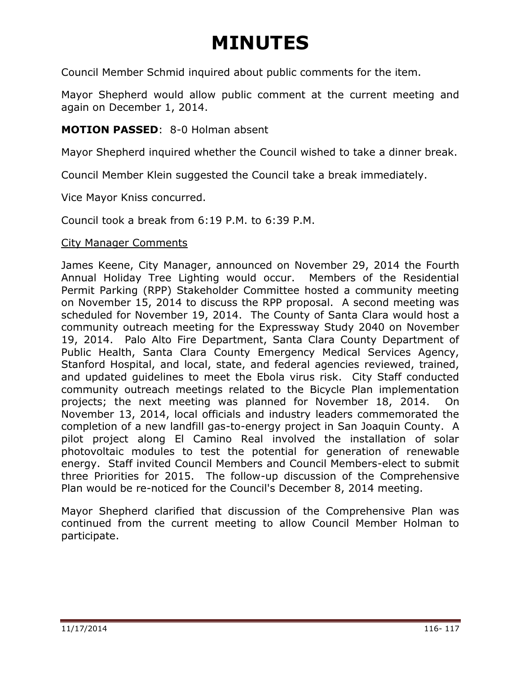Council Member Schmid inquired about public comments for the item.

Mayor Shepherd would allow public comment at the current meeting and again on December 1, 2014.

#### **MOTION PASSED**: 8-0 Holman absent

Mayor Shepherd inquired whether the Council wished to take a dinner break.

Council Member Klein suggested the Council take a break immediately.

Vice Mayor Kniss concurred.

Council took a break from 6:19 P.M. to 6:39 P.M.

#### <span id="page-9-0"></span>City Manager Comments

James Keene, City Manager, announced on November 29, 2014 the Fourth Annual Holiday Tree Lighting would occur. Members of the Residential Permit Parking (RPP) Stakeholder Committee hosted a community meeting on November 15, 2014 to discuss the RPP proposal. A second meeting was scheduled for November 19, 2014. The County of Santa Clara would host a community outreach meeting for the Expressway Study 2040 on November 19, 2014. Palo Alto Fire Department, Santa Clara County Department of Public Health, Santa Clara County Emergency Medical Services Agency, Stanford Hospital, and local, state, and federal agencies reviewed, trained, and updated guidelines to meet the Ebola virus risk. City Staff conducted community outreach meetings related to the Bicycle Plan implementation projects; the next meeting was planned for November 18, 2014. On November 13, 2014, local officials and industry leaders commemorated the completion of a new landfill gas-to-energy project in San Joaquin County. A pilot project along El Camino Real involved the installation of solar photovoltaic modules to test the potential for generation of renewable energy. Staff invited Council Members and Council Members-elect to submit three Priorities for 2015. The follow-up discussion of the Comprehensive Plan would be re-noticed for the Council's December 8, 2014 meeting.

Mayor Shepherd clarified that discussion of the Comprehensive Plan was continued from the current meeting to allow Council Member Holman to participate.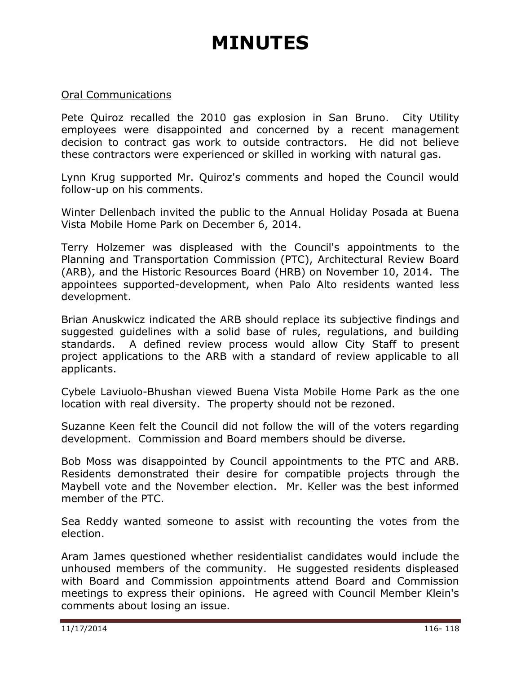#### <span id="page-10-0"></span>Oral Communications

Pete Quiroz recalled the 2010 gas explosion in San Bruno. City Utility employees were disappointed and concerned by a recent management decision to contract gas work to outside contractors. He did not believe these contractors were experienced or skilled in working with natural gas.

Lynn Krug supported Mr. Quiroz's comments and hoped the Council would follow-up on his comments.

Winter Dellenbach invited the public to the Annual Holiday Posada at Buena Vista Mobile Home Park on December 6, 2014.

Terry Holzemer was displeased with the Council's appointments to the Planning and Transportation Commission (PTC), Architectural Review Board (ARB), and the Historic Resources Board (HRB) on November 10, 2014. The appointees supported-development, when Palo Alto residents wanted less development.

Brian Anuskwicz indicated the ARB should replace its subjective findings and suggested guidelines with a solid base of rules, regulations, and building standards. A defined review process would allow City Staff to present project applications to the ARB with a standard of review applicable to all applicants.

Cybele Laviuolo-Bhushan viewed Buena Vista Mobile Home Park as the one location with real diversity. The property should not be rezoned.

Suzanne Keen felt the Council did not follow the will of the voters regarding development. Commission and Board members should be diverse.

Bob Moss was disappointed by Council appointments to the PTC and ARB. Residents demonstrated their desire for compatible projects through the Maybell vote and the November election. Mr. Keller was the best informed member of the PTC.

Sea Reddy wanted someone to assist with recounting the votes from the election.

Aram James questioned whether residentialist candidates would include the unhoused members of the community. He suggested residents displeased with Board and Commission appointments attend Board and Commission meetings to express their opinions. He agreed with Council Member Klein's comments about losing an issue.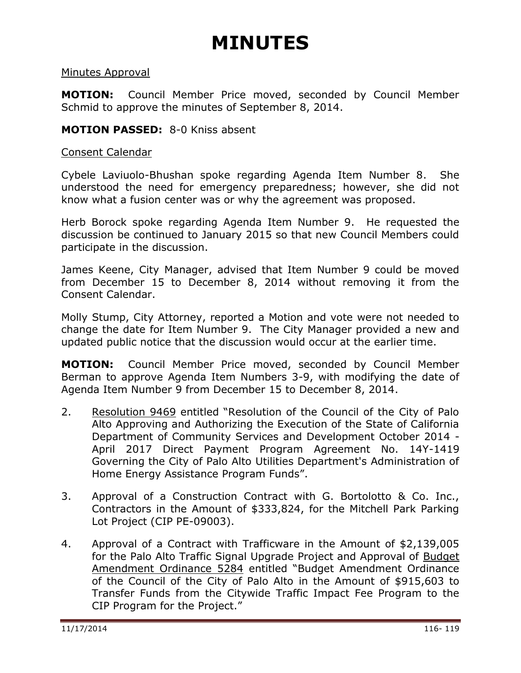#### <span id="page-11-0"></span>Minutes Approval

**MOTION:** Council Member Price moved, seconded by Council Member Schmid to approve the minutes of September 8, 2014.

#### **MOTION PASSED:** 8-0 Kniss absent

#### <span id="page-11-1"></span>Consent Calendar

Cybele Laviuolo-Bhushan spoke regarding Agenda Item Number 8. She understood the need for emergency preparedness; however, she did not know what a fusion center was or why the agreement was proposed.

Herb Borock spoke regarding Agenda Item Number 9. He requested the discussion be continued to January 2015 so that new Council Members could participate in the discussion.

James Keene, City Manager, advised that Item Number 9 could be moved from December 15 to December 8, 2014 without removing it from the Consent Calendar.

Molly Stump, City Attorney, reported a Motion and vote were not needed to change the date for Item Number 9. The City Manager provided a new and updated public notice that the discussion would occur at the earlier time.

**MOTION:** Council Member Price moved, seconded by Council Member Berman to approve Agenda Item Numbers 3-9, with modifying the date of Agenda Item Number 9 from December 15 to December 8, 2014.

- 2. Resolution 9469 entitled "Resolution of the Council of the City of Palo Alto Approving and Authorizing the Execution of the State of California Department of Community Services and Development October 2014 - April 2017 Direct Payment Program Agreement No. 14Y-1419 Governing the City of Palo Alto Utilities Department's Administration of Home Energy Assistance Program Funds".
- <span id="page-11-2"></span>3. Approval of a Construction Contract with G. Bortolotto & Co. Inc., Contractors in the Amount of \$333,824, for the Mitchell Park Parking Lot Project (CIP PE-09003).
- <span id="page-11-4"></span><span id="page-11-3"></span>4. Approval of a Contract with Trafficware in the Amount of \$2,139,005 for the Palo Alto Traffic Signal Upgrade Project and Approval of Budget Amendment Ordinance 5284 entitled "Budget Amendment Ordinance of the Council of the City of Palo Alto in the Amount of \$915,603 to Transfer Funds from the Citywide Traffic Impact Fee Program to the CIP Program for the Project."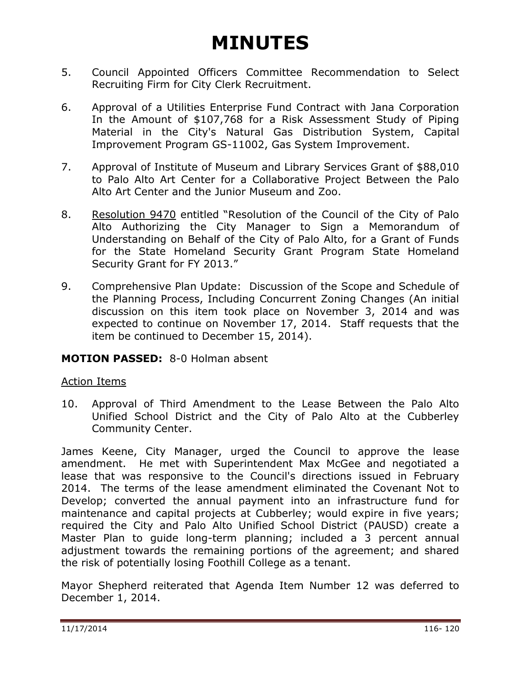- <span id="page-12-0"></span>5. Council Appointed Officers Committee Recommendation to Select Recruiting Firm for City Clerk Recruitment.
- 6. Approval of a Utilities Enterprise Fund Contract with Jana Corporation In the Amount of \$107,768 for a Risk Assessment Study of Piping Material in the City's Natural Gas Distribution System, Capital Improvement Program GS-11002, Gas System Improvement.
- <span id="page-12-1"></span>7. Approval of Institute of Museum and Library Services Grant of \$88,010 to Palo Alto Art Center for a Collaborative Project Between the Palo Alto Art Center and the Junior Museum and Zoo.
- <span id="page-12-2"></span>8. Resolution 9470 entitled "Resolution of the Council of the City of Palo Alto Authorizing the City Manager to Sign a Memorandum of Understanding on Behalf of the City of Palo Alto, for a Grant of Funds for the State Homeland Security Grant Program State Homeland Security Grant for FY 2013."
- <span id="page-12-3"></span>9. Comprehensive Plan Update: Discussion of the Scope and Schedule of the Planning Process, Including Concurrent Zoning Changes (An initial discussion on this item took place on November 3, 2014 and was expected to continue on November 17, 2014. Staff requests that the item be continued to December 15, 2014).

#### <span id="page-12-4"></span>**MOTION PASSED:** 8-0 Holman absent

#### <span id="page-12-5"></span>Action Items

<span id="page-12-6"></span>10. Approval of Third Amendment to the Lease Between the Palo Alto Unified School District and the City of Palo Alto at the Cubberley Community Center.

James Keene, City Manager, urged the Council to approve the lease amendment. He met with Superintendent Max McGee and negotiated a lease that was responsive to the Council's directions issued in February 2014. The terms of the lease amendment eliminated the Covenant Not to Develop; converted the annual payment into an infrastructure fund for maintenance and capital projects at Cubberley; would expire in five years; required the City and Palo Alto Unified School District (PAUSD) create a Master Plan to guide long-term planning; included a 3 percent annual adjustment towards the remaining portions of the agreement; and shared the risk of potentially losing Foothill College as a tenant.

Mayor Shepherd reiterated that Agenda Item Number 12 was deferred to December 1, 2014.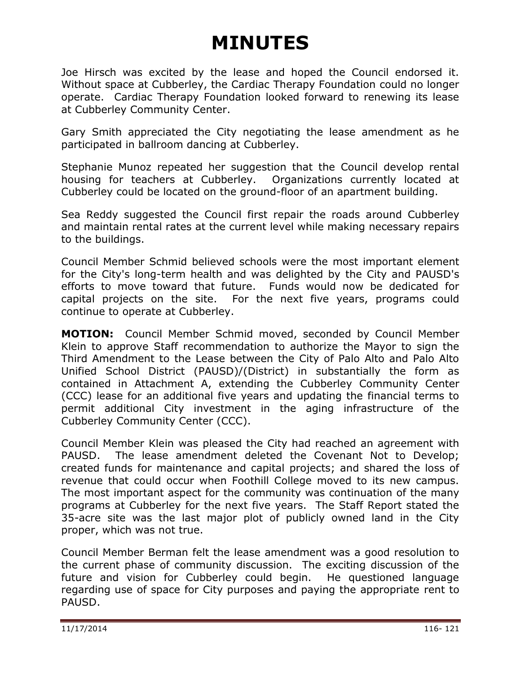Joe Hirsch was excited by the lease and hoped the Council endorsed it. Without space at Cubberley, the Cardiac Therapy Foundation could no longer operate. Cardiac Therapy Foundation looked forward to renewing its lease at Cubberley Community Center.

Gary Smith appreciated the City negotiating the lease amendment as he participated in ballroom dancing at Cubberley.

Stephanie Munoz repeated her suggestion that the Council develop rental housing for teachers at Cubberley. Organizations currently located at Cubberley could be located on the ground-floor of an apartment building.

Sea Reddy suggested the Council first repair the roads around Cubberley and maintain rental rates at the current level while making necessary repairs to the buildings.

Council Member Schmid believed schools were the most important element for the City's long-term health and was delighted by the City and PAUSD's efforts to move toward that future. Funds would now be dedicated for capital projects on the site. For the next five years, programs could continue to operate at Cubberley.

**MOTION:** Council Member Schmid moved, seconded by Council Member Klein to approve Staff recommendation to authorize the Mayor to sign the Third Amendment to the Lease between the City of Palo Alto and Palo Alto Unified School District (PAUSD)/(District) in substantially the form as contained in Attachment A, extending the Cubberley Community Center (CCC) lease for an additional five years and updating the financial terms to permit additional City investment in the aging infrastructure of the Cubberley Community Center (CCC).

Council Member Klein was pleased the City had reached an agreement with PAUSD. The lease amendment deleted the Covenant Not to Develop; created funds for maintenance and capital projects; and shared the loss of revenue that could occur when Foothill College moved to its new campus. The most important aspect for the community was continuation of the many programs at Cubberley for the next five years. The Staff Report stated the 35-acre site was the last major plot of publicly owned land in the City proper, which was not true.

Council Member Berman felt the lease amendment was a good resolution to the current phase of community discussion. The exciting discussion of the future and vision for Cubberley could begin. He questioned language regarding use of space for City purposes and paying the appropriate rent to PAUSD.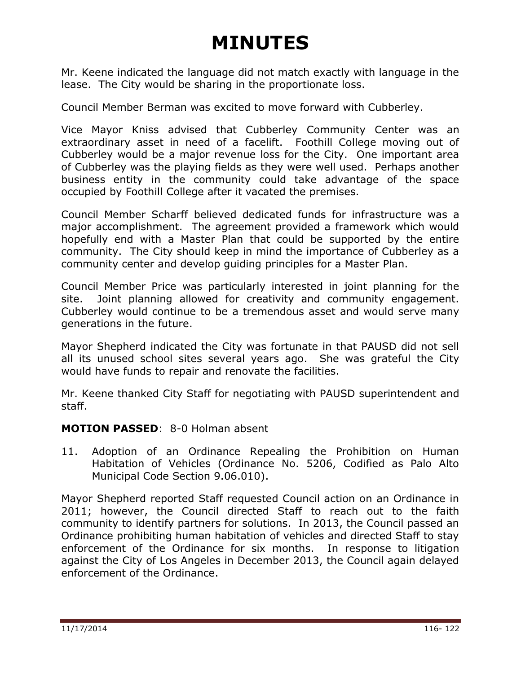Mr. Keene indicated the language did not match exactly with language in the lease. The City would be sharing in the proportionate loss.

Council Member Berman was excited to move forward with Cubberley.

Vice Mayor Kniss advised that Cubberley Community Center was an extraordinary asset in need of a facelift. Foothill College moving out of Cubberley would be a major revenue loss for the City. One important area of Cubberley was the playing fields as they were well used. Perhaps another business entity in the community could take advantage of the space occupied by Foothill College after it vacated the premises.

Council Member Scharff believed dedicated funds for infrastructure was a major accomplishment. The agreement provided a framework which would hopefully end with a Master Plan that could be supported by the entire community. The City should keep in mind the importance of Cubberley as a community center and develop guiding principles for a Master Plan.

Council Member Price was particularly interested in joint planning for the site. Joint planning allowed for creativity and community engagement. Cubberley would continue to be a tremendous asset and would serve many generations in the future.

Mayor Shepherd indicated the City was fortunate in that PAUSD did not sell all its unused school sites several years ago. She was grateful the City would have funds to repair and renovate the facilities.

Mr. Keene thanked City Staff for negotiating with PAUSD superintendent and staff.

#### **MOTION PASSED**: 8-0 Holman absent

<span id="page-14-0"></span>11. Adoption of an Ordinance Repealing the Prohibition on Human Habitation of Vehicles (Ordinance No. 5206, Codified as Palo Alto Municipal Code Section 9.06.010).

Mayor Shepherd reported Staff requested Council action on an Ordinance in 2011; however, the Council directed Staff to reach out to the faith community to identify partners for solutions. In 2013, the Council passed an Ordinance prohibiting human habitation of vehicles and directed Staff to stay enforcement of the Ordinance for six months. In response to litigation against the City of Los Angeles in December 2013, the Council again delayed enforcement of the Ordinance.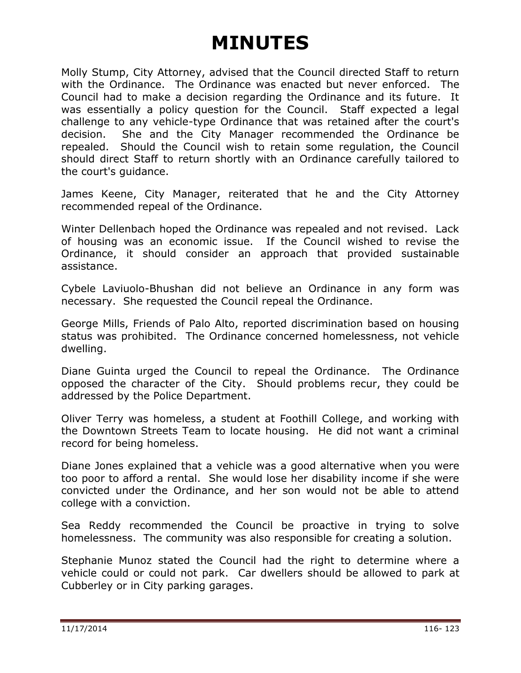Molly Stump, City Attorney, advised that the Council directed Staff to return with the Ordinance. The Ordinance was enacted but never enforced. The Council had to make a decision regarding the Ordinance and its future. It was essentially a policy question for the Council. Staff expected a legal challenge to any vehicle-type Ordinance that was retained after the court's decision. She and the City Manager recommended the Ordinance be repealed. Should the Council wish to retain some regulation, the Council should direct Staff to return shortly with an Ordinance carefully tailored to the court's guidance.

James Keene, City Manager, reiterated that he and the City Attorney recommended repeal of the Ordinance.

Winter Dellenbach hoped the Ordinance was repealed and not revised. Lack of housing was an economic issue. If the Council wished to revise the Ordinance, it should consider an approach that provided sustainable assistance.

Cybele Laviuolo-Bhushan did not believe an Ordinance in any form was necessary. She requested the Council repeal the Ordinance.

George Mills, Friends of Palo Alto, reported discrimination based on housing status was prohibited. The Ordinance concerned homelessness, not vehicle dwelling.

Diane Guinta urged the Council to repeal the Ordinance. The Ordinance opposed the character of the City. Should problems recur, they could be addressed by the Police Department.

Oliver Terry was homeless, a student at Foothill College, and working with the Downtown Streets Team to locate housing. He did not want a criminal record for being homeless.

Diane Jones explained that a vehicle was a good alternative when you were too poor to afford a rental. She would lose her disability income if she were convicted under the Ordinance, and her son would not be able to attend college with a conviction.

Sea Reddy recommended the Council be proactive in trying to solve homelessness. The community was also responsible for creating a solution.

Stephanie Munoz stated the Council had the right to determine where a vehicle could or could not park. Car dwellers should be allowed to park at Cubberley or in City parking garages.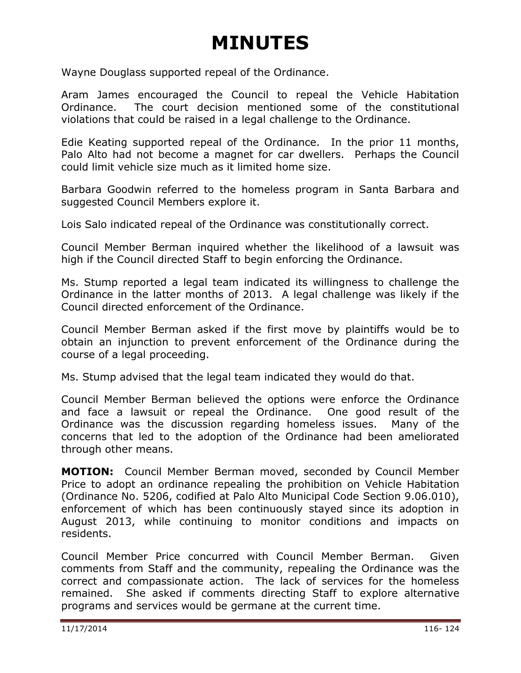Wayne Douglass supported repeal of the Ordinance.

Aram James encouraged the Council to repeal the Vehicle Habitation Ordinance. The court decision mentioned some of the constitutional violations that could be raised in a legal challenge to the Ordinance.

Edie Keating supported repeal of the Ordinance. In the prior 11 months, Palo Alto had not become a magnet for car dwellers. Perhaps the Council could limit vehicle size much as it limited home size.

Barbara Goodwin referred to the homeless program in Santa Barbara and suggested Council Members explore it.

Lois Salo indicated repeal of the Ordinance was constitutionally correct.

Council Member Berman inquired whether the likelihood of a lawsuit was high if the Council directed Staff to begin enforcing the Ordinance.

Ms. Stump reported a legal team indicated its willingness to challenge the Ordinance in the latter months of 2013. A legal challenge was likely if the Council directed enforcement of the Ordinance.

Council Member Berman asked if the first move by plaintiffs would be to obtain an injunction to prevent enforcement of the Ordinance during the course of a legal proceeding.

Ms. Stump advised that the legal team indicated they would do that.

Council Member Berman believed the options were enforce the Ordinance and face a lawsuit or repeal the Ordinance. One good result of the Ordinance was the discussion regarding homeless issues. Many of the concerns that led to the adoption of the Ordinance had been ameliorated through other means.

**MOTION:** Council Member Berman moved, seconded by Council Member Price to adopt an ordinance repealing the prohibition on Vehicle Habitation (Ordinance No. 5206, codified at Palo Alto Municipal Code Section 9.06.010), enforcement of which has been continuously stayed since its adoption in August 2013, while continuing to monitor conditions and impacts on residents.

Council Member Price concurred with Council Member Berman. Given comments from Staff and the community, repealing the Ordinance was the correct and compassionate action. The lack of services for the homeless remained. She asked if comments directing Staff to explore alternative programs and services would be germane at the current time.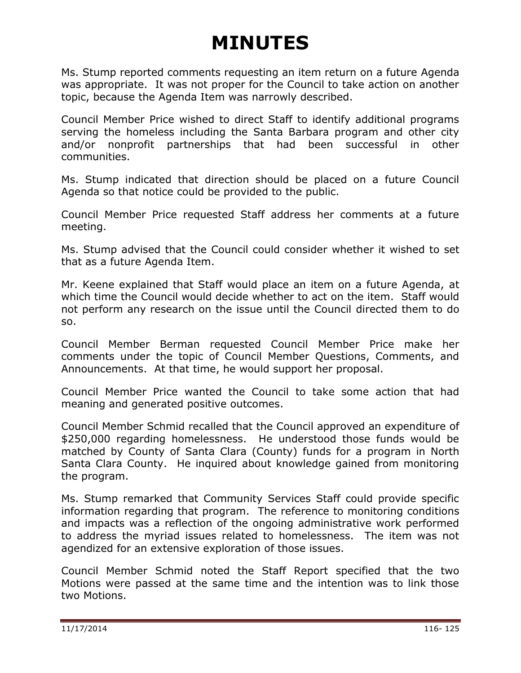Ms. Stump reported comments requesting an item return on a future Agenda was appropriate. It was not proper for the Council to take action on another topic, because the Agenda Item was narrowly described.

Council Member Price wished to direct Staff to identify additional programs serving the homeless including the Santa Barbara program and other city and/or nonprofit partnerships that had been successful in other communities.

Ms. Stump indicated that direction should be placed on a future Council Agenda so that notice could be provided to the public.

Council Member Price requested Staff address her comments at a future meeting.

Ms. Stump advised that the Council could consider whether it wished to set that as a future Agenda Item.

Mr. Keene explained that Staff would place an item on a future Agenda, at which time the Council would decide whether to act on the item. Staff would not perform any research on the issue until the Council directed them to do so.

Council Member Berman requested Council Member Price make her comments under the topic of Council Member Questions, Comments, and Announcements. At that time, he would support her proposal.

Council Member Price wanted the Council to take some action that had meaning and generated positive outcomes.

Council Member Schmid recalled that the Council approved an expenditure of \$250,000 regarding homelessness. He understood those funds would be matched by County of Santa Clara (County) funds for a program in North Santa Clara County. He inquired about knowledge gained from monitoring the program.

Ms. Stump remarked that Community Services Staff could provide specific information regarding that program. The reference to monitoring conditions and impacts was a reflection of the ongoing administrative work performed to address the myriad issues related to homelessness. The item was not agendized for an extensive exploration of those issues.

Council Member Schmid noted the Staff Report specified that the two Motions were passed at the same time and the intention was to link those two Motions.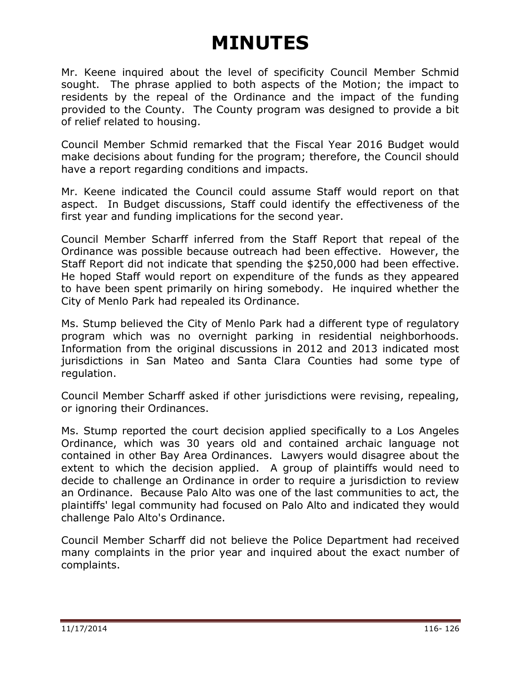Mr. Keene inquired about the level of specificity Council Member Schmid sought. The phrase applied to both aspects of the Motion; the impact to residents by the repeal of the Ordinance and the impact of the funding provided to the County. The County program was designed to provide a bit of relief related to housing.

Council Member Schmid remarked that the Fiscal Year 2016 Budget would make decisions about funding for the program; therefore, the Council should have a report regarding conditions and impacts.

Mr. Keene indicated the Council could assume Staff would report on that aspect. In Budget discussions, Staff could identify the effectiveness of the first year and funding implications for the second year.

Council Member Scharff inferred from the Staff Report that repeal of the Ordinance was possible because outreach had been effective. However, the Staff Report did not indicate that spending the \$250,000 had been effective. He hoped Staff would report on expenditure of the funds as they appeared to have been spent primarily on hiring somebody. He inquired whether the City of Menlo Park had repealed its Ordinance.

Ms. Stump believed the City of Menlo Park had a different type of regulatory program which was no overnight parking in residential neighborhoods. Information from the original discussions in 2012 and 2013 indicated most jurisdictions in San Mateo and Santa Clara Counties had some type of regulation.

Council Member Scharff asked if other jurisdictions were revising, repealing, or ignoring their Ordinances.

Ms. Stump reported the court decision applied specifically to a Los Angeles Ordinance, which was 30 years old and contained archaic language not contained in other Bay Area Ordinances. Lawyers would disagree about the extent to which the decision applied. A group of plaintiffs would need to decide to challenge an Ordinance in order to require a jurisdiction to review an Ordinance. Because Palo Alto was one of the last communities to act, the plaintiffs' legal community had focused on Palo Alto and indicated they would challenge Palo Alto's Ordinance.

Council Member Scharff did not believe the Police Department had received many complaints in the prior year and inquired about the exact number of complaints.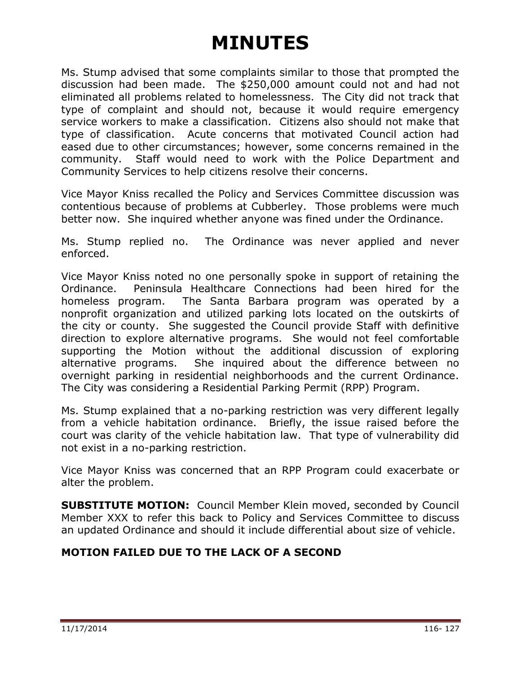Ms. Stump advised that some complaints similar to those that prompted the discussion had been made. The \$250,000 amount could not and had not eliminated all problems related to homelessness. The City did not track that type of complaint and should not, because it would require emergency service workers to make a classification. Citizens also should not make that type of classification. Acute concerns that motivated Council action had eased due to other circumstances; however, some concerns remained in the community. Staff would need to work with the Police Department and Community Services to help citizens resolve their concerns.

Vice Mayor Kniss recalled the Policy and Services Committee discussion was contentious because of problems at Cubberley. Those problems were much better now. She inquired whether anyone was fined under the Ordinance.

Ms. Stump replied no. The Ordinance was never applied and never enforced.

Vice Mayor Kniss noted no one personally spoke in support of retaining the Ordinance. Peninsula Healthcare Connections had been hired for the homeless program. The Santa Barbara program was operated by a nonprofit organization and utilized parking lots located on the outskirts of the city or county. She suggested the Council provide Staff with definitive direction to explore alternative programs. She would not feel comfortable supporting the Motion without the additional discussion of exploring alternative programs. She inquired about the difference between no overnight parking in residential neighborhoods and the current Ordinance. The City was considering a Residential Parking Permit (RPP) Program.

Ms. Stump explained that a no-parking restriction was very different legally from a vehicle habitation ordinance. Briefly, the issue raised before the court was clarity of the vehicle habitation law. That type of vulnerability did not exist in a no-parking restriction.

Vice Mayor Kniss was concerned that an RPP Program could exacerbate or alter the problem.

**SUBSTITUTE MOTION:** Council Member Klein moved, seconded by Council Member XXX to refer this back to Policy and Services Committee to discuss an updated Ordinance and should it include differential about size of vehicle.

#### **MOTION FAILED DUE TO THE LACK OF A SECOND**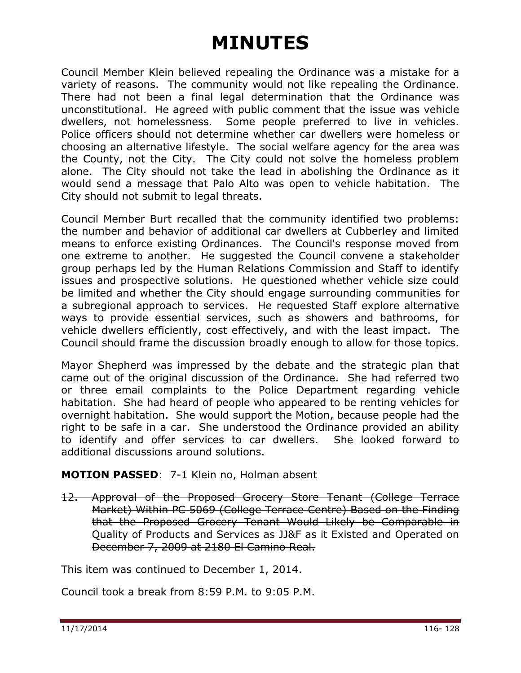Council Member Klein believed repealing the Ordinance was a mistake for a variety of reasons. The community would not like repealing the Ordinance. There had not been a final legal determination that the Ordinance was unconstitutional. He agreed with public comment that the issue was vehicle dwellers, not homelessness. Some people preferred to live in vehicles. Police officers should not determine whether car dwellers were homeless or choosing an alternative lifestyle. The social welfare agency for the area was the County, not the City. The City could not solve the homeless problem alone. The City should not take the lead in abolishing the Ordinance as it would send a message that Palo Alto was open to vehicle habitation. The City should not submit to legal threats.

Council Member Burt recalled that the community identified two problems: the number and behavior of additional car dwellers at Cubberley and limited means to enforce existing Ordinances. The Council's response moved from one extreme to another. He suggested the Council convene a stakeholder group perhaps led by the Human Relations Commission and Staff to identify issues and prospective solutions. He questioned whether vehicle size could be limited and whether the City should engage surrounding communities for a subregional approach to services. He requested Staff explore alternative ways to provide essential services, such as showers and bathrooms, for vehicle dwellers efficiently, cost effectively, and with the least impact. The Council should frame the discussion broadly enough to allow for those topics.

Mayor Shepherd was impressed by the debate and the strategic plan that came out of the original discussion of the Ordinance. She had referred two or three email complaints to the Police Department regarding vehicle habitation. She had heard of people who appeared to be renting vehicles for overnight habitation. She would support the Motion, because people had the right to be safe in a car. She understood the Ordinance provided an ability to identify and offer services to car dwellers. She looked forward to additional discussions around solutions.

#### **MOTION PASSED**: 7-1 Klein no, Holman absent

12. Approval of the Proposed Grocery Store Tenant (College Terrace Market) Within PC 5069 (College Terrace Centre) Based on the Finding that the Proposed Grocery Tenant Would Likely be Comparable in Quality of Products and Services as JJ&F as it Existed and Operated on December 7, 2009 at 2180 El Camino Real.

<span id="page-20-0"></span>This item was continued to December 1, 2014.

Council took a break from 8:59 P.M. to 9:05 P.M.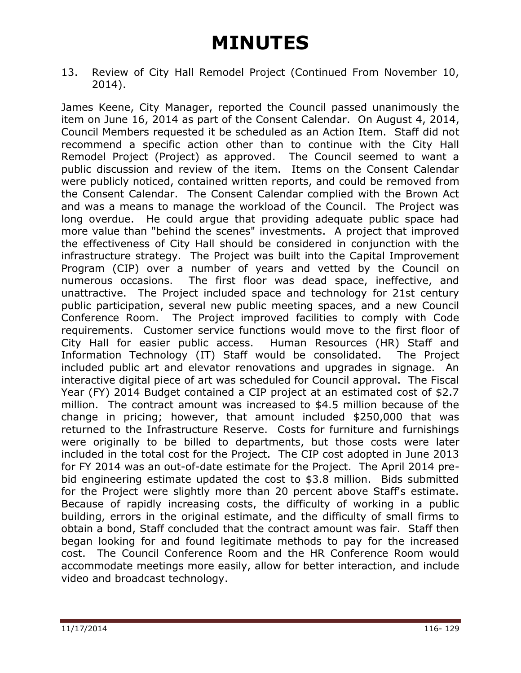<span id="page-21-0"></span>13. Review of City Hall Remodel Project (Continued From November 10, 2014).

James Keene, City Manager, reported the Council passed unanimously the item on June 16, 2014 as part of the Consent Calendar. On August 4, 2014, Council Members requested it be scheduled as an Action Item. Staff did not recommend a specific action other than to continue with the City Hall Remodel Project (Project) as approved. The Council seemed to want a public discussion and review of the item. Items on the Consent Calendar were publicly noticed, contained written reports, and could be removed from the Consent Calendar. The Consent Calendar complied with the Brown Act and was a means to manage the workload of the Council. The Project was long overdue. He could argue that providing adequate public space had more value than "behind the scenes" investments. A project that improved the effectiveness of City Hall should be considered in conjunction with the infrastructure strategy. The Project was built into the Capital Improvement Program (CIP) over a number of years and vetted by the Council on numerous occasions. The first floor was dead space, ineffective, and unattractive. The Project included space and technology for 21st century public participation, several new public meeting spaces, and a new Council Conference Room. The Project improved facilities to comply with Code requirements. Customer service functions would move to the first floor of City Hall for easier public access. Human Resources (HR) Staff and Information Technology (IT) Staff would be consolidated. The Project included public art and elevator renovations and upgrades in signage. An interactive digital piece of art was scheduled for Council approval. The Fiscal Year (FY) 2014 Budget contained a CIP project at an estimated cost of \$2.7 million. The contract amount was increased to \$4.5 million because of the change in pricing; however, that amount included \$250,000 that was returned to the Infrastructure Reserve. Costs for furniture and furnishings were originally to be billed to departments, but those costs were later included in the total cost for the Project. The CIP cost adopted in June 2013 for FY 2014 was an out-of-date estimate for the Project. The April 2014 prebid engineering estimate updated the cost to \$3.8 million. Bids submitted for the Project were slightly more than 20 percent above Staff's estimate. Because of rapidly increasing costs, the difficulty of working in a public building, errors in the original estimate, and the difficulty of small firms to obtain a bond, Staff concluded that the contract amount was fair. Staff then began looking for and found legitimate methods to pay for the increased cost. The Council Conference Room and the HR Conference Room would accommodate meetings more easily, allow for better interaction, and include video and broadcast technology.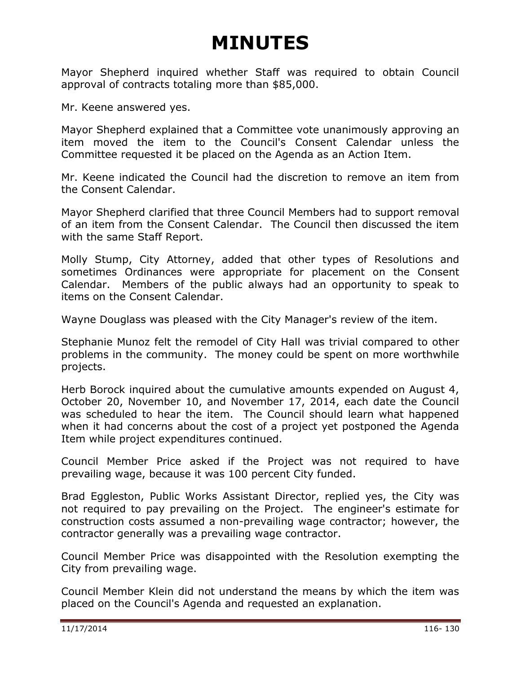Mayor Shepherd inquired whether Staff was required to obtain Council approval of contracts totaling more than \$85,000.

Mr. Keene answered yes.

Mayor Shepherd explained that a Committee vote unanimously approving an item moved the item to the Council's Consent Calendar unless the Committee requested it be placed on the Agenda as an Action Item.

Mr. Keene indicated the Council had the discretion to remove an item from the Consent Calendar.

Mayor Shepherd clarified that three Council Members had to support removal of an item from the Consent Calendar. The Council then discussed the item with the same Staff Report.

Molly Stump, City Attorney, added that other types of Resolutions and sometimes Ordinances were appropriate for placement on the Consent Calendar. Members of the public always had an opportunity to speak to items on the Consent Calendar.

Wayne Douglass was pleased with the City Manager's review of the item.

Stephanie Munoz felt the remodel of City Hall was trivial compared to other problems in the community. The money could be spent on more worthwhile projects.

Herb Borock inquired about the cumulative amounts expended on August 4, October 20, November 10, and November 17, 2014, each date the Council was scheduled to hear the item. The Council should learn what happened when it had concerns about the cost of a project yet postponed the Agenda Item while project expenditures continued.

Council Member Price asked if the Project was not required to have prevailing wage, because it was 100 percent City funded.

Brad Eggleston, Public Works Assistant Director, replied yes, the City was not required to pay prevailing on the Project. The engineer's estimate for construction costs assumed a non-prevailing wage contractor; however, the contractor generally was a prevailing wage contractor.

Council Member Price was disappointed with the Resolution exempting the City from prevailing wage.

Council Member Klein did not understand the means by which the item was placed on the Council's Agenda and requested an explanation.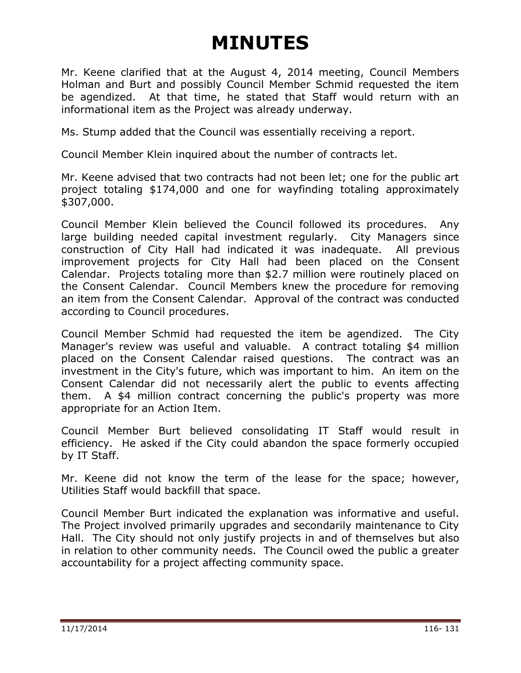Mr. Keene clarified that at the August 4, 2014 meeting, Council Members Holman and Burt and possibly Council Member Schmid requested the item be agendized. At that time, he stated that Staff would return with an informational item as the Project was already underway.

Ms. Stump added that the Council was essentially receiving a report.

Council Member Klein inquired about the number of contracts let.

Mr. Keene advised that two contracts had not been let; one for the public art project totaling \$174,000 and one for wayfinding totaling approximately \$307,000.

Council Member Klein believed the Council followed its procedures. Any large building needed capital investment regularly. City Managers since construction of City Hall had indicated it was inadequate. All previous improvement projects for City Hall had been placed on the Consent Calendar. Projects totaling more than \$2.7 million were routinely placed on the Consent Calendar. Council Members knew the procedure for removing an item from the Consent Calendar. Approval of the contract was conducted according to Council procedures.

Council Member Schmid had requested the item be agendized. The City Manager's review was useful and valuable. A contract totaling \$4 million placed on the Consent Calendar raised questions. The contract was an investment in the City's future, which was important to him. An item on the Consent Calendar did not necessarily alert the public to events affecting them. A \$4 million contract concerning the public's property was more appropriate for an Action Item.

Council Member Burt believed consolidating IT Staff would result in efficiency. He asked if the City could abandon the space formerly occupied by IT Staff.

Mr. Keene did not know the term of the lease for the space; however, Utilities Staff would backfill that space.

Council Member Burt indicated the explanation was informative and useful. The Project involved primarily upgrades and secondarily maintenance to City Hall. The City should not only justify projects in and of themselves but also in relation to other community needs. The Council owed the public a greater accountability for a project affecting community space.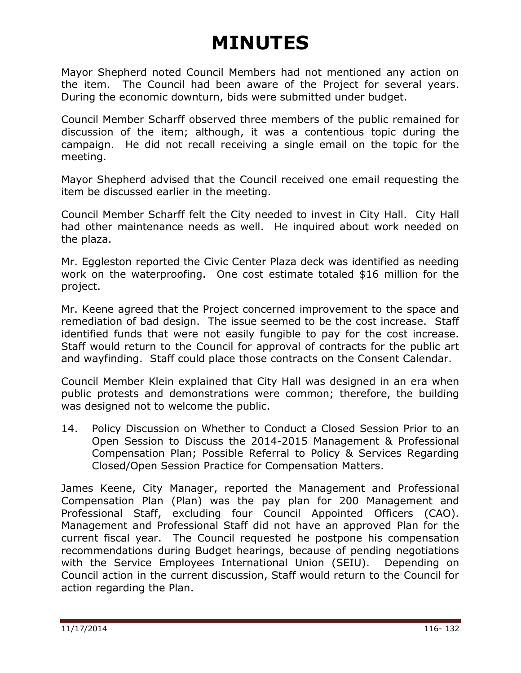Mayor Shepherd noted Council Members had not mentioned any action on the item. The Council had been aware of the Project for several years. During the economic downturn, bids were submitted under budget.

Council Member Scharff observed three members of the public remained for discussion of the item; although, it was a contentious topic during the campaign. He did not recall receiving a single email on the topic for the meeting.

Mayor Shepherd advised that the Council received one email requesting the item be discussed earlier in the meeting.

Council Member Scharff felt the City needed to invest in City Hall. City Hall had other maintenance needs as well. He inquired about work needed on the plaza.

Mr. Eggleston reported the Civic Center Plaza deck was identified as needing work on the waterproofing. One cost estimate totaled \$16 million for the project.

Mr. Keene agreed that the Project concerned improvement to the space and remediation of bad design. The issue seemed to be the cost increase. Staff identified funds that were not easily fungible to pay for the cost increase. Staff would return to the Council for approval of contracts for the public art and wayfinding. Staff could place those contracts on the Consent Calendar.

Council Member Klein explained that City Hall was designed in an era when public protests and demonstrations were common; therefore, the building was designed not to welcome the public.

14. Policy Discussion on Whether to Conduct a Closed Session Prior to an Open Session to Discuss the 2014-2015 Management & Professional Compensation Plan; Possible Referral to Policy & Services Regarding Closed/Open Session Practice for Compensation Matters.

<span id="page-24-0"></span>James Keene, City Manager, reported the Management and Professional Compensation Plan (Plan) was the pay plan for 200 Management and Professional Staff, excluding four Council Appointed Officers (CAO). Management and Professional Staff did not have an approved Plan for the current fiscal year. The Council requested he postpone his compensation recommendations during Budget hearings, because of pending negotiations with the Service Employees International Union (SEIU). Depending on Council action in the current discussion, Staff would return to the Council for action regarding the Plan.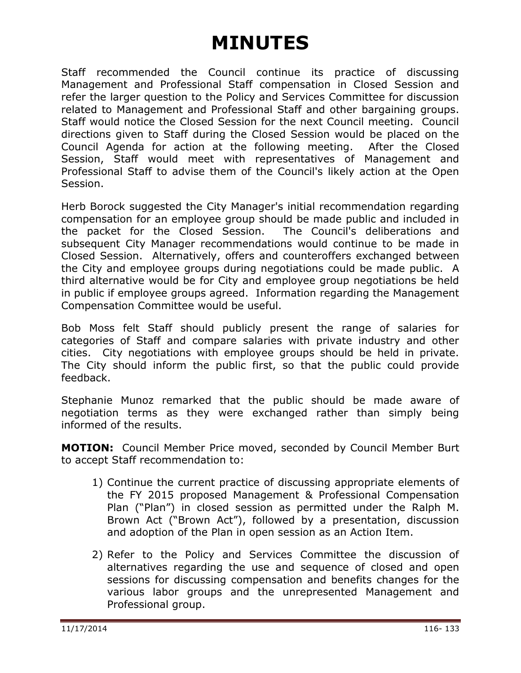Staff recommended the Council continue its practice of discussing Management and Professional Staff compensation in Closed Session and refer the larger question to the Policy and Services Committee for discussion related to Management and Professional Staff and other bargaining groups. Staff would notice the Closed Session for the next Council meeting. Council directions given to Staff during the Closed Session would be placed on the Council Agenda for action at the following meeting. After the Closed Session, Staff would meet with representatives of Management and Professional Staff to advise them of the Council's likely action at the Open Session.

Herb Borock suggested the City Manager's initial recommendation regarding compensation for an employee group should be made public and included in the packet for the Closed Session. The Council's deliberations and subsequent City Manager recommendations would continue to be made in Closed Session. Alternatively, offers and counteroffers exchanged between the City and employee groups during negotiations could be made public. A third alternative would be for City and employee group negotiations be held in public if employee groups agreed. Information regarding the Management Compensation Committee would be useful.

Bob Moss felt Staff should publicly present the range of salaries for categories of Staff and compare salaries with private industry and other cities. City negotiations with employee groups should be held in private. The City should inform the public first, so that the public could provide feedback.

Stephanie Munoz remarked that the public should be made aware of negotiation terms as they were exchanged rather than simply being informed of the results.

**MOTION:** Council Member Price moved, seconded by Council Member Burt to accept Staff recommendation to:

- 1) Continue the current practice of discussing appropriate elements of the FY 2015 proposed Management & Professional Compensation Plan ("Plan") in closed session as permitted under the Ralph M. Brown Act ("Brown Act"), followed by a presentation, discussion and adoption of the Plan in open session as an Action Item.
- 2) Refer to the Policy and Services Committee the discussion of alternatives regarding the use and sequence of closed and open sessions for discussing compensation and benefits changes for the various labor groups and the unrepresented Management and Professional group.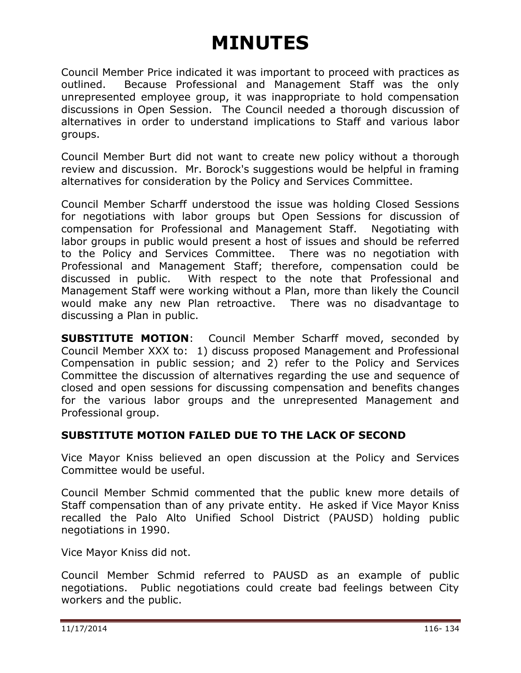Council Member Price indicated it was important to proceed with practices as outlined. Because Professional and Management Staff was the only unrepresented employee group, it was inappropriate to hold compensation discussions in Open Session. The Council needed a thorough discussion of alternatives in order to understand implications to Staff and various labor groups.

Council Member Burt did not want to create new policy without a thorough review and discussion. Mr. Borock's suggestions would be helpful in framing alternatives for consideration by the Policy and Services Committee.

Council Member Scharff understood the issue was holding Closed Sessions for negotiations with labor groups but Open Sessions for discussion of compensation for Professional and Management Staff. Negotiating with labor groups in public would present a host of issues and should be referred to the Policy and Services Committee. There was no negotiation with Professional and Management Staff; therefore, compensation could be discussed in public. With respect to the note that Professional and Management Staff were working without a Plan, more than likely the Council would make any new Plan retroactive. There was no disadvantage to discussing a Plan in public.

**SUBSTITUTE MOTION**: Council Member Scharff moved, seconded by Council Member XXX to: 1) discuss proposed Management and Professional Compensation in public session; and 2) refer to the Policy and Services Committee the discussion of alternatives regarding the use and sequence of closed and open sessions for discussing compensation and benefits changes for the various labor groups and the unrepresented Management and Professional group.

#### **SUBSTITUTE MOTION FAILED DUE TO THE LACK OF SECOND**

Vice Mayor Kniss believed an open discussion at the Policy and Services Committee would be useful.

Council Member Schmid commented that the public knew more details of Staff compensation than of any private entity. He asked if Vice Mayor Kniss recalled the Palo Alto Unified School District (PAUSD) holding public negotiations in 1990.

Vice Mayor Kniss did not.

Council Member Schmid referred to PAUSD as an example of public negotiations. Public negotiations could create bad feelings between City workers and the public.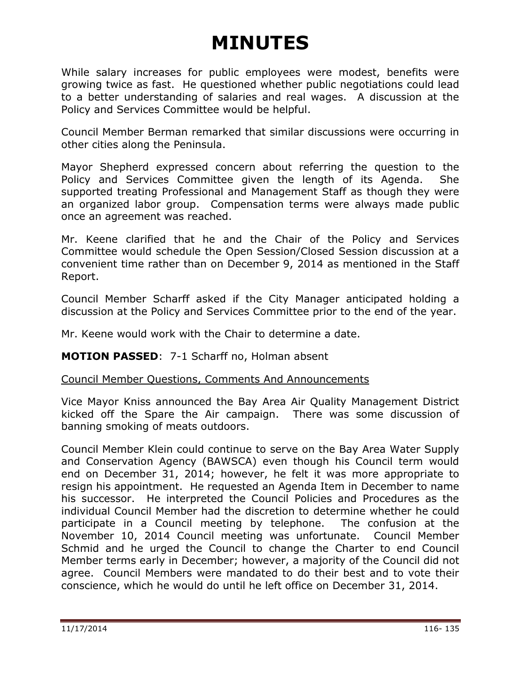While salary increases for public employees were modest, benefits were growing twice as fast. He questioned whether public negotiations could lead to a better understanding of salaries and real wages. A discussion at the Policy and Services Committee would be helpful.

Council Member Berman remarked that similar discussions were occurring in other cities along the Peninsula.

Mayor Shepherd expressed concern about referring the question to the Policy and Services Committee given the length of its Agenda. She supported treating Professional and Management Staff as though they were an organized labor group. Compensation terms were always made public once an agreement was reached.

Mr. Keene clarified that he and the Chair of the Policy and Services Committee would schedule the Open Session/Closed Session discussion at a convenient time rather than on December 9, 2014 as mentioned in the Staff Report.

Council Member Scharff asked if the City Manager anticipated holding a discussion at the Policy and Services Committee prior to the end of the year.

Mr. Keene would work with the Chair to determine a date.

#### **MOTION PASSED**: 7-1 Scharff no, Holman absent

#### <span id="page-27-0"></span>Council Member Questions, Comments And Announcements

Vice Mayor Kniss announced the Bay Area Air Quality Management District kicked off the Spare the Air campaign. There was some discussion of banning smoking of meats outdoors.

Council Member Klein could continue to serve on the Bay Area Water Supply and Conservation Agency (BAWSCA) even though his Council term would end on December 31, 2014; however, he felt it was more appropriate to resign his appointment. He requested an Agenda Item in December to name his successor. He interpreted the Council Policies and Procedures as the individual Council Member had the discretion to determine whether he could participate in a Council meeting by telephone. The confusion at the November 10, 2014 Council meeting was unfortunate. Council Member Schmid and he urged the Council to change the Charter to end Council Member terms early in December; however, a majority of the Council did not agree. Council Members were mandated to do their best and to vote their conscience, which he would do until he left office on December 31, 2014.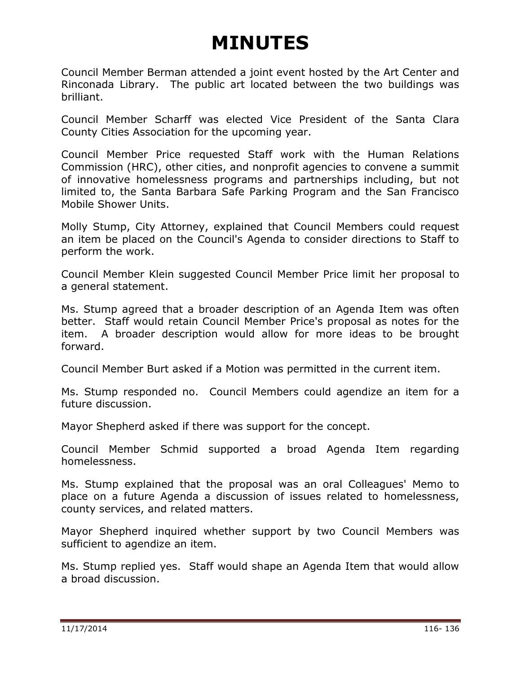Council Member Berman attended a joint event hosted by the Art Center and Rinconada Library. The public art located between the two buildings was brilliant.

Council Member Scharff was elected Vice President of the Santa Clara County Cities Association for the upcoming year.

Council Member Price requested Staff work with the Human Relations Commission (HRC), other cities, and nonprofit agencies to convene a summit of innovative homelessness programs and partnerships including, but not limited to, the Santa Barbara Safe Parking Program and the San Francisco Mobile Shower Units.

Molly Stump, City Attorney, explained that Council Members could request an item be placed on the Council's Agenda to consider directions to Staff to perform the work.

Council Member Klein suggested Council Member Price limit her proposal to a general statement.

Ms. Stump agreed that a broader description of an Agenda Item was often better. Staff would retain Council Member Price's proposal as notes for the item. A broader description would allow for more ideas to be brought forward.

Council Member Burt asked if a Motion was permitted in the current item.

Ms. Stump responded no. Council Members could agendize an item for a future discussion.

Mayor Shepherd asked if there was support for the concept.

Council Member Schmid supported a broad Agenda Item regarding homelessness.

Ms. Stump explained that the proposal was an oral Colleagues' Memo to place on a future Agenda a discussion of issues related to homelessness, county services, and related matters.

Mayor Shepherd inquired whether support by two Council Members was sufficient to agendize an item.

Ms. Stump replied yes. Staff would shape an Agenda Item that would allow a broad discussion.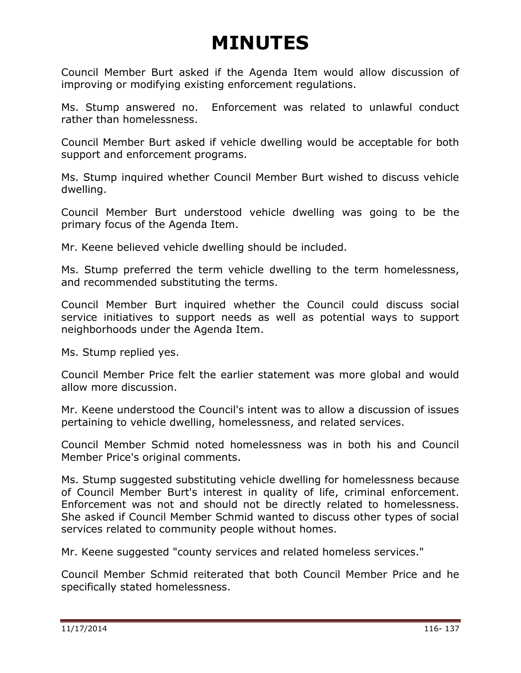Council Member Burt asked if the Agenda Item would allow discussion of improving or modifying existing enforcement regulations.

Ms. Stump answered no. Enforcement was related to unlawful conduct rather than homelessness.

Council Member Burt asked if vehicle dwelling would be acceptable for both support and enforcement programs.

Ms. Stump inquired whether Council Member Burt wished to discuss vehicle dwelling.

Council Member Burt understood vehicle dwelling was going to be the primary focus of the Agenda Item.

Mr. Keene believed vehicle dwelling should be included.

Ms. Stump preferred the term vehicle dwelling to the term homelessness, and recommended substituting the terms.

Council Member Burt inquired whether the Council could discuss social service initiatives to support needs as well as potential ways to support neighborhoods under the Agenda Item.

Ms. Stump replied yes.

Council Member Price felt the earlier statement was more global and would allow more discussion.

Mr. Keene understood the Council's intent was to allow a discussion of issues pertaining to vehicle dwelling, homelessness, and related services.

Council Member Schmid noted homelessness was in both his and Council Member Price's original comments.

Ms. Stump suggested substituting vehicle dwelling for homelessness because of Council Member Burt's interest in quality of life, criminal enforcement. Enforcement was not and should not be directly related to homelessness. She asked if Council Member Schmid wanted to discuss other types of social services related to community people without homes.

Mr. Keene suggested "county services and related homeless services."

Council Member Schmid reiterated that both Council Member Price and he specifically stated homelessness.